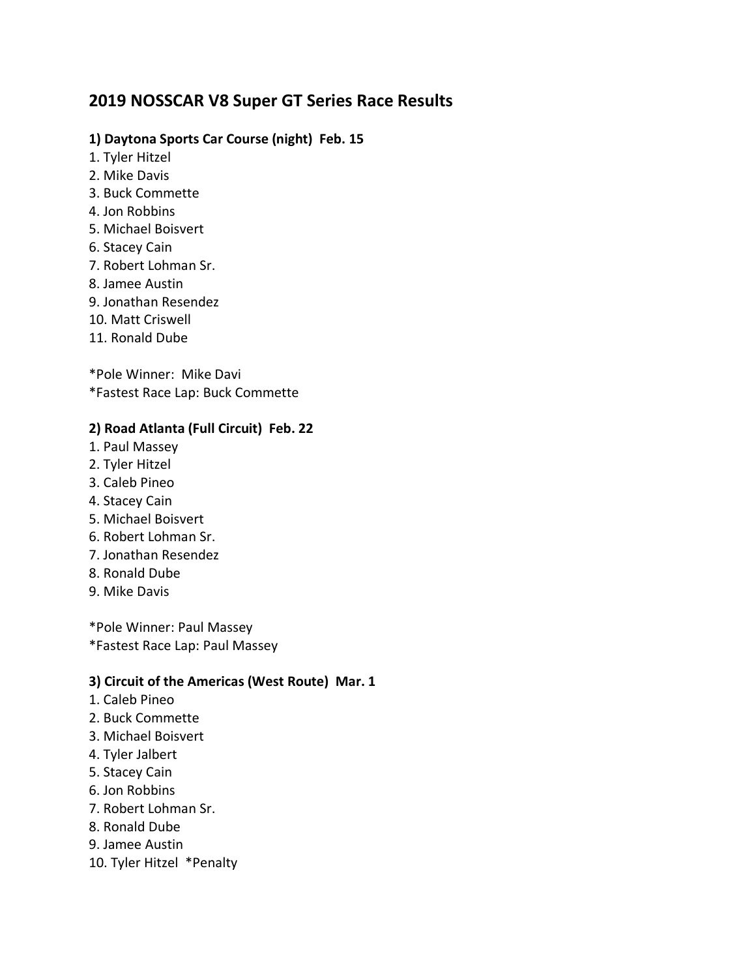# **2019 NOSSCAR V8 Super GT Series Race Results**

#### **1) Daytona Sports Car Course (night) Feb. 15**

- 1. Tyler Hitzel
- 2. Mike Davis
- 3. Buck Commette
- 4. Jon Robbins
- 5. Michael Boisvert
- 6. Stacey Cain
- 7. Robert Lohman Sr.
- 8. Jamee Austin
- 9. Jonathan Resendez
- 10. Matt Criswell
- 11. Ronald Dube

\*Pole Winner: Mike Davi \*Fastest Race Lap: Buck Commette

## **2) Road Atlanta (Full Circuit) Feb. 22**

- 1. Paul Massey
- 2. Tyler Hitzel
- 3. Caleb Pineo
- 4. Stacey Cain
- 5. Michael Boisvert
- 6. Robert Lohman Sr.
- 7. Jonathan Resendez
- 8. Ronald Dube
- 9. Mike Davis

\*Pole Winner: Paul Massey \*Fastest Race Lap: Paul Massey

#### **3) Circuit of the Americas (West Route) Mar. 1**

- 1. Caleb Pineo
- 2. Buck Commette
- 3. Michael Boisvert
- 4. Tyler Jalbert
- 5. Stacey Cain
- 6. Jon Robbins
- 7. Robert Lohman Sr.
- 8. Ronald Dube
- 9. Jamee Austin
- 10. Tyler Hitzel \*Penalty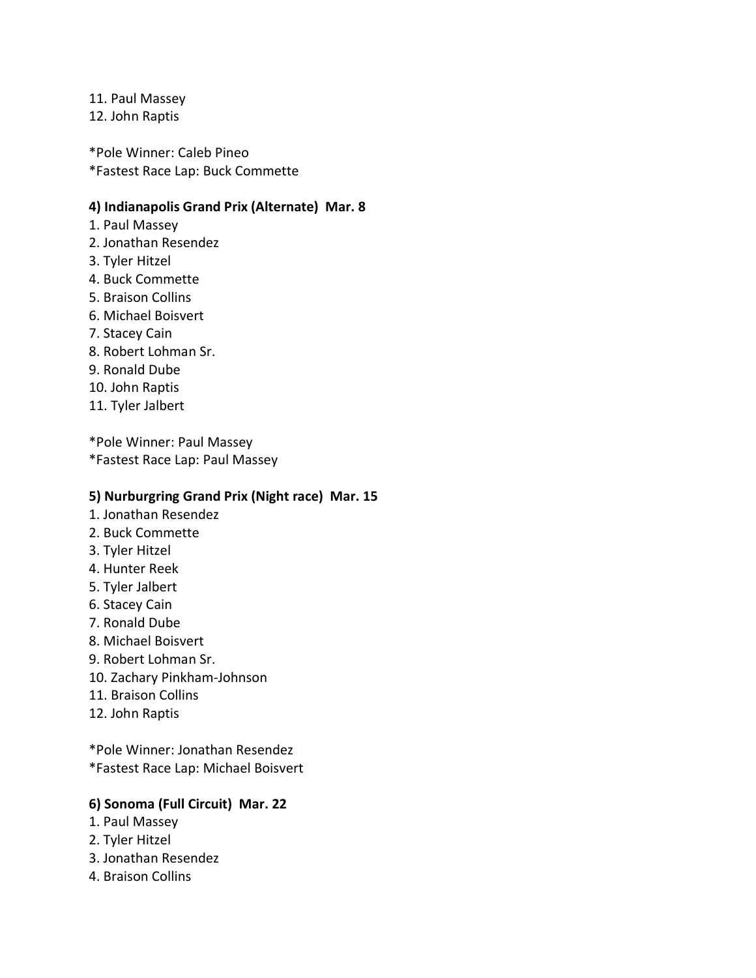11. Paul Massey

12. John Raptis

\*Pole Winner: Caleb Pineo \*Fastest Race Lap: Buck Commette

#### **4) Indianapolis Grand Prix (Alternate) Mar. 8**

- 1. Paul Massey
- 2. Jonathan Resendez
- 3. Tyler Hitzel
- 4. Buck Commette
- 5. Braison Collins
- 6. Michael Boisvert
- 7. Stacey Cain
- 8. Robert Lohman Sr.
- 9. Ronald Dube
- 10. John Raptis
- 11. Tyler Jalbert

\*Pole Winner: Paul Massey \*Fastest Race Lap: Paul Massey

#### **5) Nurburgring Grand Prix (Night race) Mar. 15**

- 1. Jonathan Resendez
- 2. Buck Commette
- 3. Tyler Hitzel
- 4. Hunter Reek
- 5. Tyler Jalbert
- 6. Stacey Cain
- 7. Ronald Dube
- 8. Michael Boisvert
- 9. Robert Lohman Sr.
- 10. Zachary Pinkham-Johnson
- 11. Braison Collins
- 12. John Raptis

\*Pole Winner: Jonathan Resendez \*Fastest Race Lap: Michael Boisvert

#### **6) Sonoma (Full Circuit) Mar. 22**

- 1. Paul Massey
- 2. Tyler Hitzel
- 3. Jonathan Resendez
- 4. Braison Collins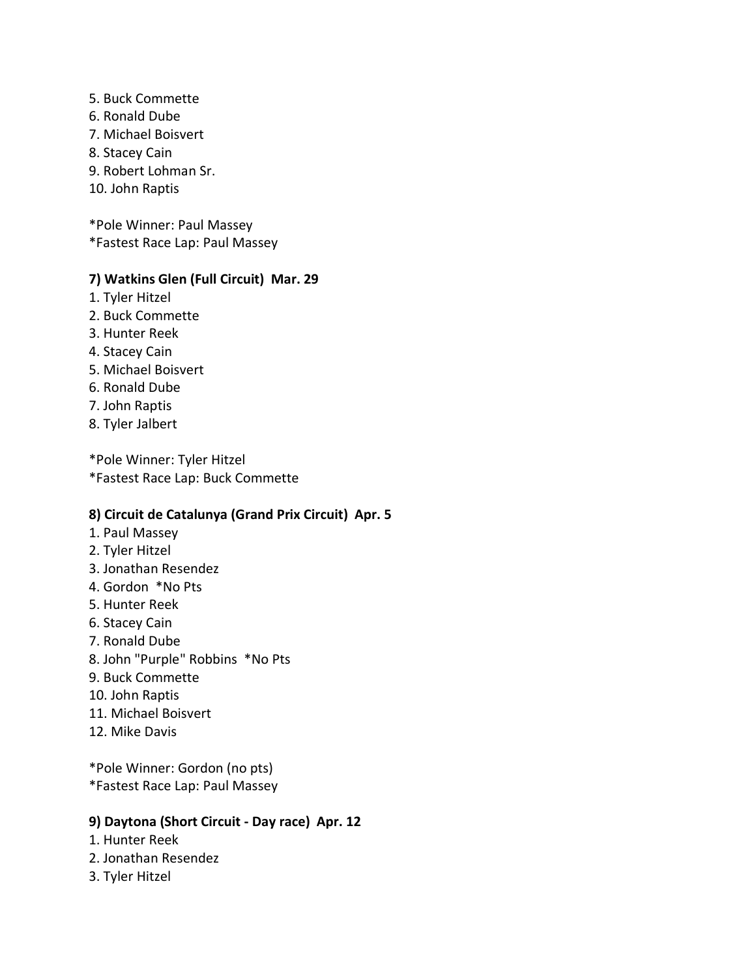- 5. Buck Commette
- 6. Ronald Dube
- 7. Michael Boisvert
- 8. Stacey Cain
- 9. Robert Lohman Sr.
- 10. John Raptis

\*Pole Winner: Paul Massey \*Fastest Race Lap: Paul Massey

#### **7) Watkins Glen (Full Circuit) Mar. 29**

- 1. Tyler Hitzel
- 2. Buck Commette
- 3. Hunter Reek
- 4. Stacey Cain
- 5. Michael Boisvert
- 6. Ronald Dube
- 7. John Raptis
- 8. Tyler Jalbert

\*Pole Winner: Tyler Hitzel \*Fastest Race Lap: Buck Commette

#### **8) Circuit de Catalunya (Grand Prix Circuit) Apr. 5**

- 1. Paul Massey
- 2. Tyler Hitzel
- 3. Jonathan Resendez
- 4. Gordon \*No Pts
- 5. Hunter Reek
- 6. Stacey Cain
- 7. Ronald Dube
- 8. John "Purple" Robbins \*No Pts
- 9. Buck Commette
- 10. John Raptis
- 11. Michael Boisvert
- 12. Mike Davis

\*Pole Winner: Gordon (no pts) \*Fastest Race Lap: Paul Massey

#### **9) Daytona (Short Circuit - Day race) Apr. 12**

- 1. Hunter Reek
- 2. Jonathan Resendez
- 3. Tyler Hitzel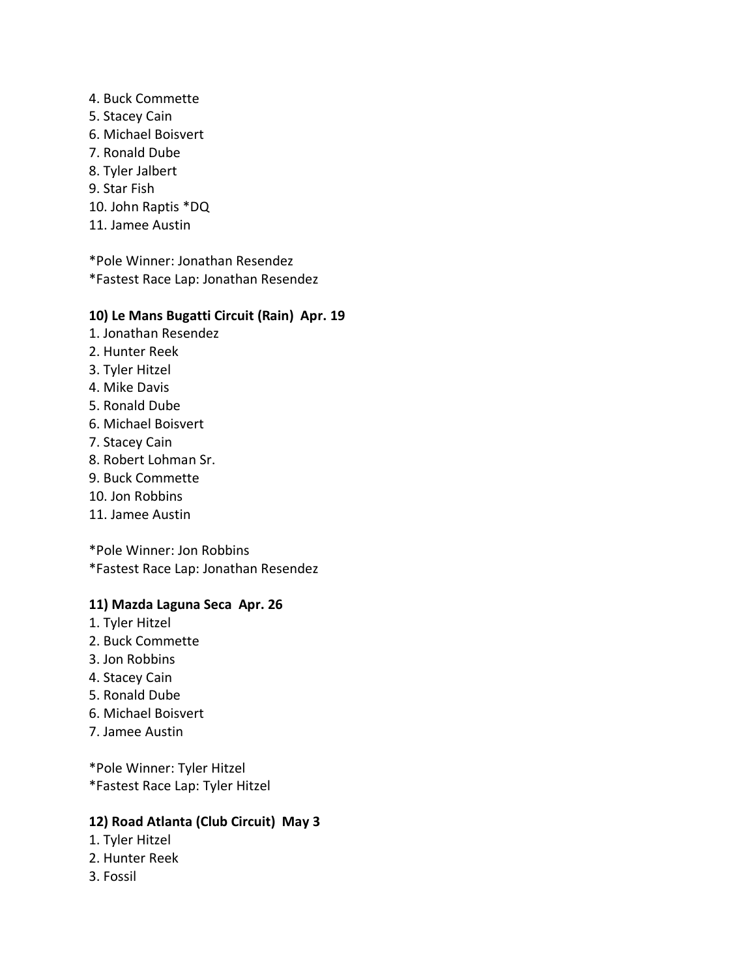4. Buck Commette 5. Stacey Cain 6. Michael Boisvert 7. Ronald Dube 8. Tyler Jalbert 9. Star Fish 10. John Raptis \*DQ 11. Jamee Austin

\*Pole Winner: Jonathan Resendez \*Fastest Race Lap: Jonathan Resendez

#### **10) Le Mans Bugatti Circuit (Rain) Apr. 19**

- 1. Jonathan Resendez
- 2. Hunter Reek
- 3. Tyler Hitzel
- 4. Mike Davis
- 5. Ronald Dube
- 6. Michael Boisvert
- 7. Stacey Cain
- 8. Robert Lohman Sr.
- 9. Buck Commette
- 10. Jon Robbins
- 11. Jamee Austin

\*Pole Winner: Jon Robbins \*Fastest Race Lap: Jonathan Resendez

## **11) Mazda Laguna Seca Apr. 26**

- 1. Tyler Hitzel
- 2. Buck Commette
- 3. Jon Robbins
- 4. Stacey Cain
- 5. Ronald Dube
- 6. Michael Boisvert
- 7. Jamee Austin

\*Pole Winner: Tyler Hitzel \*Fastest Race Lap: Tyler Hitzel

#### **12) Road Atlanta (Club Circuit) May 3**

- 1. Tyler Hitzel
- 2. Hunter Reek
- 3. Fossil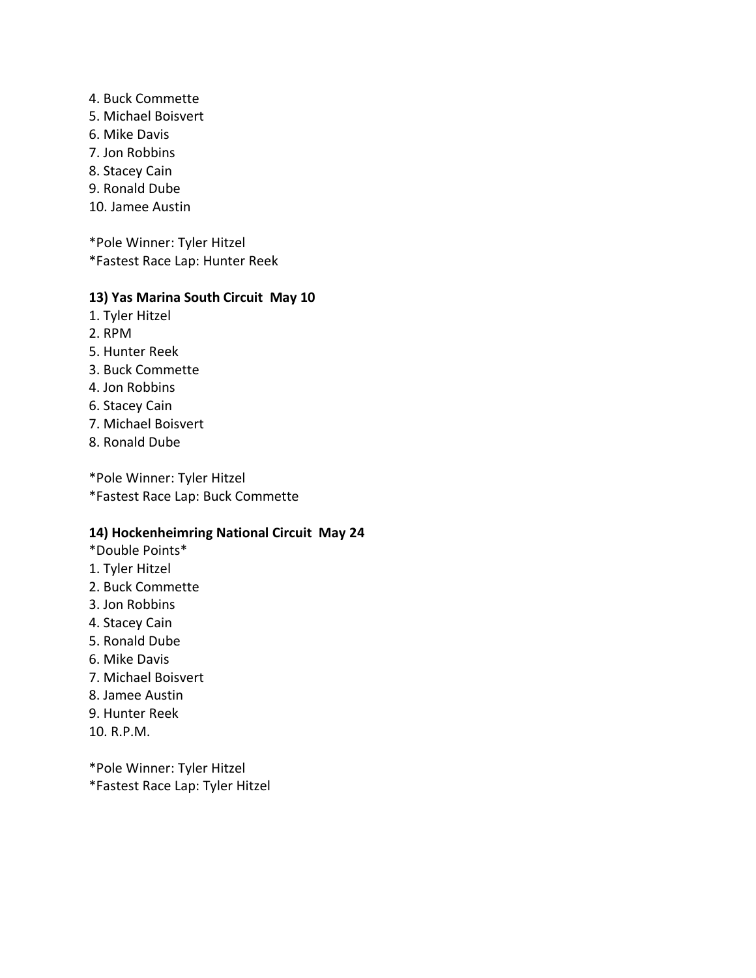- 4. Buck Commette
- 5. Michael Boisvert
- 6. Mike Davis
- 7. Jon Robbins
- 8. Stacey Cain
- 9. Ronald Dube
- 10. Jamee Austin

\*Pole Winner: Tyler Hitzel \*Fastest Race Lap: Hunter Reek

#### **13) Yas Marina South Circuit May 10**

- 1. Tyler Hitzel
- 2. RPM
- 5. Hunter Reek
- 3. Buck Commette
- 4. Jon Robbins
- 6. Stacey Cain
- 7. Michael Boisvert
- 8. Ronald Dube

\*Pole Winner: Tyler Hitzel \*Fastest Race Lap: Buck Commette

#### **14) Hockenheimring National Circuit May 24**

- \*Double Points\*
- 1. Tyler Hitzel
- 2. Buck Commette
- 3. Jon Robbins
- 4. Stacey Cain
- 5. Ronald Dube
- 6. Mike Davis
- 7. Michael Boisvert
- 8. Jamee Austin
- 9. Hunter Reek
- 10. R.P.M.

\*Pole Winner: Tyler Hitzel \*Fastest Race Lap: Tyler Hitzel